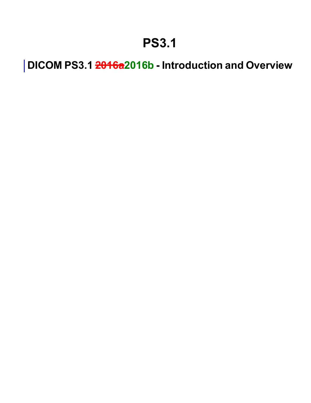## **PS3.1**

**DICOM PS3.1 2016a2016b - Introduction and Overview**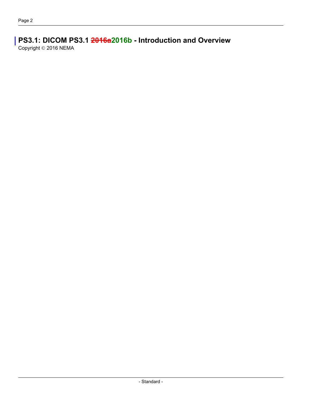### **PS3.1: DICOM PS3.1 2016a2016b - Introduction and Overview**

Copyright © 2016 NEMA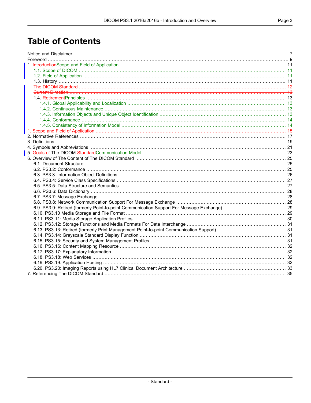### **Table of Contents**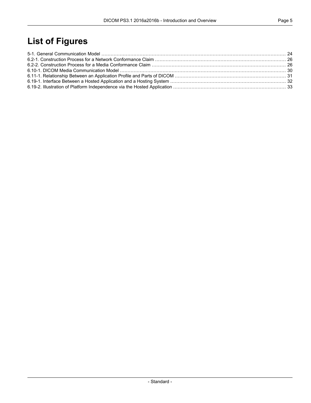### **List of Figures**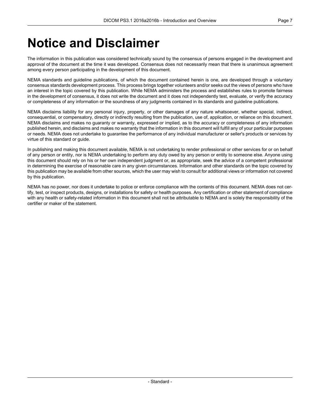## <span id="page-6-0"></span>**Notice and Disclaimer**

The information in this publication was considered technically sound by the consensus of persons engaged in the development and approval of the document at the time it was developed. Consensus does not necessarily mean that there is unanimous agreement among every person participating in the development of this document.

NEMA standards and guideline publications, of which the document contained herein is one, are developed through a voluntary consensus standards development process. This process brings together volunteers and/or seeks out the views of persons who have an interest in the topic covered by this publication. While NEMA administers the process and establishes rules to promote fairness in the development of consensus, it does not write the document and it does not independently test, evaluate, or verify the accuracy or completeness of any information or the soundness of any judgments contained in its standards and guideline publications.

NEMA disclaims liability for any personal injury, property, or other damages of any nature whatsoever, whether special, indirect, consequential, or compensatory, directly or indirectly resulting from the publication, use of, application, or reliance on this document. NEMA disclaims and makes no guaranty or warranty, expressed or implied, as to the accuracy or completeness of any information published herein, and disclaims and makes no warranty that the information in this document will fulfill any of your particular purposes or needs. NEMA does not undertake to guarantee the performance of any individual manufacturer or seller's products or services by virtue of this standard or guide.

In publishing and making this document available, NEMA is not undertaking to render professional or other services for or on behalf of any person or entity, nor is NEMA undertaking to perform any duty owed by any person or entity to someone else. Anyone using this document should rely on his or her own independent judgment or, as appropriate, seek the advice of a competent professional in determining the exercise of reasonable care in any given circumstances. Information and other standards on the topic covered by this publication may be available from other sources, which the user may wish to consult for additional views or information not covered by this publication.

NEMA has no power, nor does it undertake to police or enforce compliance with the contents of this document. NEMA does not certify, test, or inspect products, designs, or installations for safety or health purposes. Any certification or other statement of compliance with any health or safety-related information in this document shall not be attributable to NEMA and is solely the responsibility of the certifier or maker of the statement.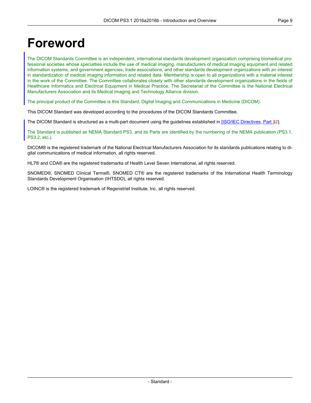### <span id="page-8-0"></span>**Foreword**

The DICOM Standards Committee is an independent, international standards development organization comprising biomedical professional societies whose specialties include the use of medical imaging, manufacturers of medical imaging equipment and related information systems, and government agencies, trade associations, and other standards development organizations with an interest in standardization of medical imaging information and related data. Membership is open to all organizations with a material interest in the work of the Committee. The Committee collaborates closely with other standards development organizations in the fields of Healthcare Informatics and Electrical Equipment in Medical Practice. The Secretariat of the Committee is the National Electrical Manufacturers Association and its Medical Imaging and Technology Alliance division.

The principal product of the Committee is this Standard, Digital Imaging and Communications in Medicine (DICOM).

This DICOM Standard was developed according to the procedures of the DICOM Standards Committee.

The DICOM Standard is structured as a multi-part document using the guidelines established in [ISO/IEC [Directives,](#page-16-1) Part 32].

The Standard is published as NEMA Standard PS3, and its Parts are identified by the numbering of the NEMA publication (PS3.1, PS3.2, etc.).

DICOM® is the registered trademark of the National Electrical Manufacturers Association for its standards publications relating to digital communications of medical information, all rights reserved.

HL7® and CDA® are the registered trademarks of Health Level Seven International, all rights reserved.

SNOMED®, SNOMED Clinical Terms®, SNOMED CT® are the registered trademarks of the International Health Terminology Standards Development Organisation (IHTSDO), all rights reserved.

LOINC® is the registered trademark of Regenstrief Institute, Inc, all rights reserved.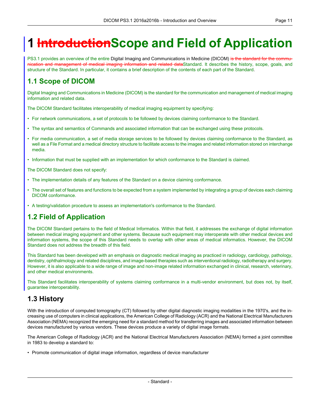# <span id="page-10-0"></span>**1 IntroductionScope and Field of Application**

<span id="page-10-1"></span>PS3.1 provides an overview of the entire Digital Imaging and Communications in Medicine (DICOM) is the standard for the communication and management of medical imaging information and related dataStandard. It describes the history, scope, goals, and structure of the Standard. In particular, it contains a brief description of the contents of each part of the Standard.

#### **1.1 Scope of DICOM**

Digital Imaging and Communications in Medicine (DICOM) is the standard for the communication and management of medical imaging information and related data.

The DICOM Standard facilitates interoperability of medical imaging equipment by specifying:

- For network communications, a set of protocols to be followed by devices claiming conformance to the Standard.
- The syntax and semantics of Commands and associated information that can be exchanged using these protocols.
- For media communication, a set of media storage services to be followed by devices claiming conformance to the Standard, as well as a File Format and a medical directory structure to facilitate access to the images and related information stored on interchange media.
- Information that must be supplied with an implementation for which conformance to the Standard is claimed.

The DICOM Standard does not specify:

- The implementation details of any features of the Standard on a device claiming conformance.
- <span id="page-10-2"></span>• The overall set of features and functions to be expected from a system implemented by integrating a group of devices each claiming DICOM conformance.
- A testing/validation procedure to assess an implementation's conformance to the Standard.

#### **1.2 Field of Application**

The DICOM Standard pertains to the field of Medical Informatics. Within that field, it addresses the exchange of digital information between medical imaging equipment and other systems. Because such equipment may interoperate with other medical devices and information systems, the scope of this Standard needs to overlap with other areas of medical informatics. However, the DICOM Standard does not address the breadth of this field.

<span id="page-10-3"></span>This Standard has been developed with an emphasis on diagnostic medical imaging as practiced in radiology, cardiology, pathology, dentistry, ophthalmology and related disciplines, and image-based therapies such as interventional radiology, radiotherapy and surgery. However, it is also applicable to a wide range of image and non-image related information exchanged in clinical, research, veterinary, and other medical environments.

This Standard facilitates interoperability of systems claiming conformance in a multi-vendor environment, but does not, by itself, guarantee interoperability.

#### **1.3 History**

With the introduction of computed tomography (CT) followed by other digital diagnostic imaging modalities in the 1970's, and the increasing use of computers in clinical applications, the American College of Radiology (ACR) and the National Electrical Manufacturers Association (NEMA) recognized the emerging need for a standard method for transferring images and associated information between devices manufactured by various vendors. These devices produce a variety of digital image formats.

The American College of Radiology (ACR) and the National Electrical Manufacturers Association (NEMA) formed a joint committee in 1983 to develop a standard to:

• Promote communication of digital image information, regardless of device manufacturer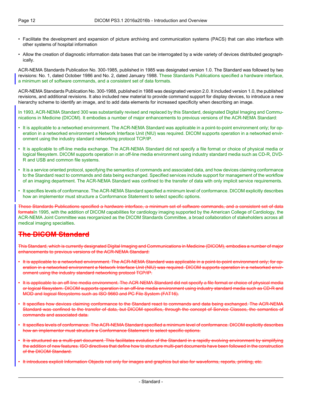- Facilitate the development and expansion of picture archiving and communication systems (PACS) that can also interface with other systems of hospital information
- Allow the creation of diagnostic information data bases that can be interrogated by a wide variety of devices distributed geographically.

ACR-NEMA Standards Publication No. 300-1985, published in 1985 was designated version 1.0. The Standard was followed by two revisions: No. 1, dated October 1986 and No. 2, dated January 1988. These Standards Publications specified a hardware interface, a minimum set of software commands, and a consistent set of data formats.

ACR-NEMA Standards Publication No. 300-1988, published in 1988 was designated version 2.0. It included version 1.0, the published revisions, and additional revisions. It also included new material to provide command support for display devices, to introduce a new hierarchy scheme to identify an image, and to add data elements for increased specificity when describing an image.

In 1993, ACR-NEMA Standard 300 was substantially revised and replaced by this Standard, designated Digital Imaging and Communications in Medicine (DICOM). It embodies a number of major enhancements to previous versions of the ACR-NEMA Standard:

- It is applicable to a networked environment. The ACR-NEMA Standard was applicable in a point-to-point environment only; for operation in a networked environment a Network Interface Unit (NIU) was required. DICOM supports operation in a networked environment using the industry standard networking protocol TCP/IP.
- It is applicable to off-line media exchange. The ACR-NEMA Standard did not specify a file format or choice of physical media or logical filesystem. DICOM supports operation in an off-line media environment using industry standard media such as CD-R, DVD-R and USB and common file systems.
- It is a service oriented protocol, specifying the semantics of commands and associated data, and how devices claiming conformance to the Standard react to commands and data being exchanged. Specified services include support for management of the workflow of an imaging department. The ACR-NEMA Standard was confined to the transfer of data with only implicit service requirements.

• It specifies levels of conformance. The ACR-NEMA Standard specified a minimum level of conformance. DICOM explicitly describes how an implementor must structure a Conformance Statement to select specific options.

<span id="page-11-0"></span>These Standards Publications specified a hardware interface, a minimum set of software commands, and a consistent set of data formatsIn 1995, with the addition of DICOM capabilities for cardiology imaging supported by the American College of Cardiology, the ACR-NEMA Joint Committee was reorganized as the DICOM Standards Committee, a broad collaboration of stakeholders across all medical imaging specialties.

### **The DICOM Standard**

This Standard, which is currently designated Digital Imaging and Communications in Medicine (DICOM), embodies a number of major enhancements to previous versions of the ACR-NEMA Standard:

- It is applicable to a networked environment. The ACR-NEMA Standard was applicable in a point-to-point environment only; for operation in a networked environment a Network Interface Unit (NIU) was required. DICOM supports operation in a networked environment using the industry standard networking protocol TCP/IP.
- It is applicable to an off-line media environment. The ACR-NEMA Standard did not specify a file format or choice of physical media or logical filesystem. DICOM supports operation in an off-line media environment using industry standard media such as CD-R and MOD and logical filesystems such as ISO 9660 and PC File System (FAT16).
- It specifies how devices claiming conformance to the Standard react to commands and data being exchanged. The ACR-NEMA Standard was confined to the transfer of data, but DICOM specifies, through the concept of Service Classes, the semantics of commands and associated data.
- It specifies levels of conformance. The ACR-NEMA Standard specified a minimum level of conformance. DICOM explicitly describes how an implementor must structure a Conformance Statement to select specific options.
- It is structured as a multi-part document. This facilitates evolution of the Standard in a rapidly evolving environment by simplifying the addition of new features. ISO directives that define how to structure multi-part documents have been followed in the construction of the DICOM Standard.
- It introduces explicit Information Objects not only for images and graphics but also for waveforms, reports, printing, etc.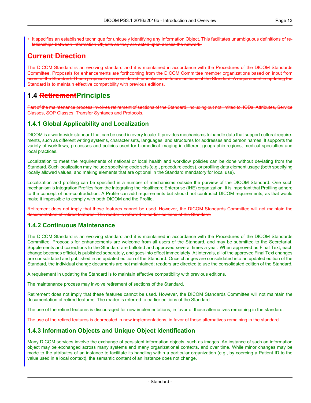• It specifies an established technique for uniquely identifying any Information Object. This facilitates unambiguous definitions of relationships between Information Objects as they are acted upon across the network.

### <span id="page-12-0"></span>**Current Direction**

<span id="page-12-1"></span>The DICOM Standard is an evolving standard and it is maintained in accordance with the Procedures of the DICOM Standards Committee. Proposals for enhancements are forthcoming from the DICOM Committee member organizations based on input from users of the Standard. These proposals are considered for inclusion in future editions of the Standard. A requirement in updating the Standard is to maintain effective compatibility with previous editions.

### **1.4 RetirementPrinciples**

<span id="page-12-2"></span>Part of the maintenance process involves retirement of sections of the Standard, including but not limited to, IODs, Attributes, Service Classes, SOP Classes, Transfer Syntaxes and Protocols.

#### **1.4.1 Global Applicability and Localization**

DICOM is a world-wide standard that can be used in every locale. It provides mechanisms to handle data that support cultural requirements, such as different writing systems, character sets, languages, and structures for addresses and person names. It supports the variety of workflows, processes and policies used for biomedical imaging in different geographic regions, medical specialties and local practices.

Localization to meet the requirements of national or local health and workflow policies can be done without deviating from the Standard. Such localization may include specifying code sets (e.g., procedure codes), or profiling data element usage (both specifying locally allowed values, and making elements that are optional in the Standard mandatory for local use).

Localization and profiling can be specified in a number of mechanisms outside the purview of the DICOM Standard. One such mechanism is Integration Profiles from the Integrating the Healthcare Enterprise (IHE) organization. It is important that Profiling adhere to the concept of non-contradiction. A Profile can add requirements but should not contradict DICOM requirements, as that would make it impossible to comply with both DICOM and the Profile.

<span id="page-12-3"></span>Retirement does not imply that these features cannot be used. However, the DICOM Standards Committee will not maintain the documentation of retired features. The reader is referred to earlier editions of the Standard.

#### **1.4.2 Continuous Maintenance**

The DICOM Standard is an evolving standard and it is maintained in accordance with the Procedures of the DICOM Standards Committee. Proposals for enhancements are welcome from all users of the Standard, and may be submitted to the Secretariat. Supplements and corrections to the Standard are balloted and approved several times a year. When approved as Final Text, each change becomes official, is published separately, and goes into effect immediately. At intervals, all of the approved Final Text changes are consolidated and published in an updated edition of the Standard. Once changes are consolidated into an updated edition of the Standard, the individual change documents are not maintained; readers are directed to use the consolidated edition of the Standard.

A requirement in updating the Standard is to maintain effective compatibility with previous editions.

The maintenance process may involve retirement of sections of the Standard.

<span id="page-12-4"></span>Retirement does not imply that these features cannot be used. However, the DICOM Standards Committee will not maintain the documentation of retired features. The reader is referred to earlier editions of the Standard.

The use of the retired features is discouraged for new implementations, in favor of those alternatives remaining in the standard.

The use of the retired features is deprecated in new implementations, in favor of those alternatives remaining in the standard.

#### **1.4.3 Information Objects and Unique Object Identification**

Many DICOM services involve the exchange of persistent information objects, such as images. An instance of such an information object may be exchanged across many systems and many organizational contexts, and over time. While minor changes may be made to the attributes of an instance to facilitate its handling within a particular organization (e.g., by coercing a Patient ID to the value used in a local context), the semantic content of an instance does not change.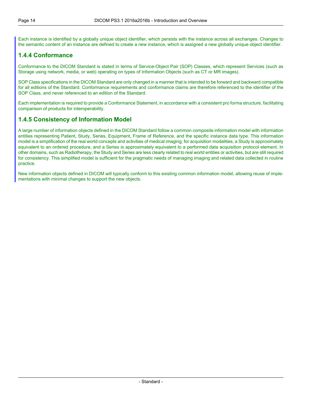<span id="page-13-0"></span>Each instance is identified by a globally unique object identifier, which persists with the instance across all exchanges. Changes to the semantic content of an instance are defined to create a new instance, which is assigned a new globally unique object identifier.

#### **1.4.4 Conformance**

Conformance to the DICOM Standard is stated in terms of Service-Object Pair (SOP) Classes, which represent Services (such as Storage using network, media, or web) operating on types of Information Objects (such as CT or MR images).

SOP Class specifications in the DICOM Standard are only changed in a manner that is intended to be forward and backward compatible for all editions of the Standard. Conformance requirements and conformance claims are therefore referenced to the identifier of the SOP Class, and never referenced to an edition of the Standard.

<span id="page-13-1"></span>Each implementation is required to provide a Conformance Statement, in accordance with a consistent pro forma structure, facilitating comparison of products for interoperability.

#### **1.4.5 Consistency of Information Model**

A large number of information objects defined in the DICOM Standard follow a common composite information model with information entities representing Patient, Study, Series, Equipment, Frame of Reference, and the specific instance data type. This information model is a simplification of the real world concepts and activities of medical imaging; for acquisition modalities, a Study is approximately equivalent to an ordered procedure, and a Series is approximately equivalent to a performed data acquisition protocol element. In other domains, such as Radiotherapy, the Study and Series are less clearly related to real world entities or activities, but are still required for consistency. This simplified model is sufficient for the pragmatic needs of managing imaging and related data collected in routine practice.

New information objects defined in DICOM will typically conform to this existing common information model, allowing reuse of implementations with minimal changes to support the new objects.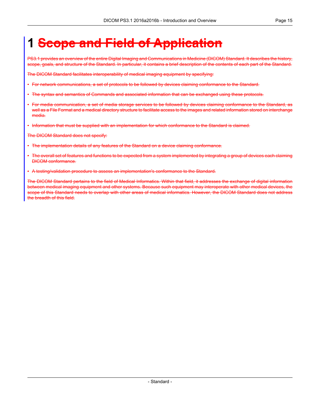## <span id="page-14-0"></span>**1 Scope and Field of Application**

PS3.1 provides an overview of the entire Digital Imaging and Communications in Medicine (DICOM) Standard. It describes the history, scope, goals, and structure of the Standard. In particular, it contains a brief description of the contents of each part of the Standard.

The DICOM Standard facilitates interoperability of medical imaging equipment by specifying:

- For network communications, a set of protocols to be followed by devices claiming conformance to the Standard.
- The syntax and semantics of Commands and associated information that can be exchanged using these protocols.
- For media communication, a set of media storage services to be followed by devices claiming conformance to the Standard, as well as a File Format and a medical directory structure to facilitate access to the images and related information stored on interchange media.
- Information that must be supplied with an implementation for which conformance to the Standard is claimed.

The DICOM Standard does not specify:

- The implementation details of any features of the Standard on a device claiming conformance.
- The overall set of features and functions to be expected from a system implemented by integrating a group of devices each claiming DICOM conformance.
- A testing/validation procedure to assess an implementation's conformance to the Standard.

The DICOM Standard pertains to the field of Medical Informatics. Within that field, it addresses the exchange of digital information between medical imaging equipment and other systems. Because such equipment may interoperate with other medical devices, the scope of this Standard needs to overlap with other areas of medical informatics. However, the DICOM Standard does not address the breadth of this field.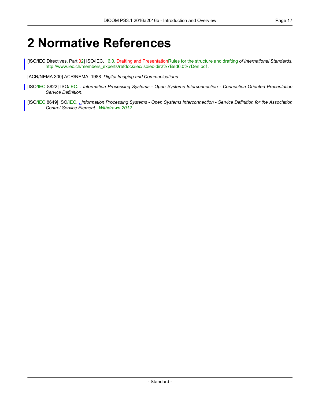## <span id="page-16-0"></span>**2 Normative References**

<span id="page-16-1"></span>[ISO/IEC Directives, Part 32] ISO/IEC. . 6.0. Drafting and PresentationRules for the structure and drafting *of International Standards*. [http://www.iec.ch/members\\_experts/refdocs/iec/isoiec-dir2%7Bed6.0%7Den.pdf](http://www.iec.ch/members_experts/refdocs/iec/isoiec-dir2%7Bed6.0%7Den.pdf) .

[ACR/NEMA 300] ACR/NEMA. 1988. *Digital Imaging and Communications*.

[ISO/IEC 8822] ISO/IEC. . *Information Processing Systems - Open Systems Interconnection - Connection Oriented Presentation Service Definition*.

[ISO/IEC 8649] ISO/IEC. . *Information Processing Systems - Open Systems Interconnection - Service Definition for the Association Control Service Element*. *Withdrawn 2012.* .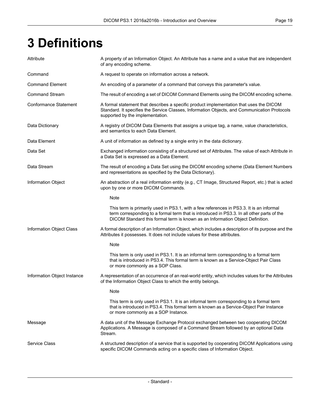# <span id="page-18-0"></span>**3 Definitions**

| Attribute                    | A property of an Information Object. An Attribute has a name and a value that are independent<br>of any encoding scheme.                                                                                                                                               |
|------------------------------|------------------------------------------------------------------------------------------------------------------------------------------------------------------------------------------------------------------------------------------------------------------------|
| Command                      | A request to operate on information across a network.                                                                                                                                                                                                                  |
| <b>Command Element</b>       | An encoding of a parameter of a command that conveys this parameter's value.                                                                                                                                                                                           |
| <b>Command Stream</b>        | The result of encoding a set of DICOM Command Elements using the DICOM encoding scheme.                                                                                                                                                                                |
| <b>Conformance Statement</b> | A formal statement that describes a specific product implementation that uses the DICOM<br>Standard. It specifies the Service Classes, Information Objects, and Communication Protocols<br>supported by the implementation.                                            |
| Data Dictionary              | A registry of DICOM Data Elements that assigns a unique tag, a name, value characteristics,<br>and semantics to each Data Element.                                                                                                                                     |
| Data Element                 | A unit of information as defined by a single entry in the data dictionary.                                                                                                                                                                                             |
| Data Set                     | Exchanged information consisting of a structured set of Attributes. The value of each Attribute in<br>a Data Set is expressed as a Data Element.                                                                                                                       |
| Data Stream                  | The result of encoding a Data Set using the DICOM encoding scheme (Data Element Numbers<br>and representations as specified by the Data Dictionary).                                                                                                                   |
| Information Object           | An abstraction of a real information entity (e.g., CT Image, Structured Report, etc.) that is acted<br>upon by one or more DICOM Commands.                                                                                                                             |
|                              | Note                                                                                                                                                                                                                                                                   |
|                              | This term is primarily used in PS3.1, with a few references in PS3.3. It is an informal<br>term corresponding to a formal term that is introduced in PS3.3. In all other parts of the<br>DICOM Standard this formal term is known as an Information Object Definition. |
| Information Object Class     | A formal description of an Information Object, which includes a description of its purpose and the<br>Attributes it possesses. It does not include values for these attributes.                                                                                        |
|                              | Note                                                                                                                                                                                                                                                                   |
|                              | This term is only used in PS3.1. It is an informal term corresponding to a formal term<br>that is introduced in PS3.4. This formal term is known as a Service-Object Pair Class<br>or more commonly as a SOP Class.                                                    |
| Information Object Instance  | A representation of an occurrence of an real-world entity, which includes values for the Attributes<br>of the Information Object Class to which the entity belongs.                                                                                                    |
|                              | <b>Note</b>                                                                                                                                                                                                                                                            |
|                              | This term is only used in PS3.1. It is an informal term corresponding to a formal term<br>that is introduced in PS3.4. This formal term is known as a Service-Object Pair Instance<br>or more commonly as a SOP Instance.                                              |
| Message                      | A data unit of the Message Exchange Protocol exchanged between two cooperating DICOM<br>Applications. A Message is composed of a Command Stream followed by an optional Data<br>Stream.                                                                                |
| <b>Service Class</b>         | A structured description of a service that is supported by cooperating DICOM Applications using<br>specific DICOM Commands acting on a specific class of Information Object.                                                                                           |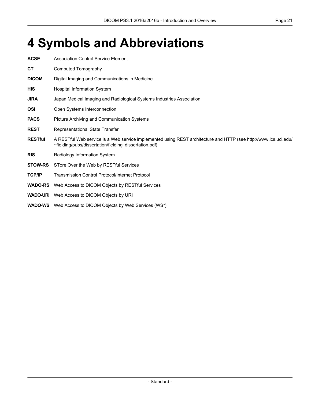# <span id="page-20-0"></span>**4 Symbols and Abbreviations**

| <b>ACSE</b>    | <b>Association Control Service Element</b>                                                                                                                                 |
|----------------|----------------------------------------------------------------------------------------------------------------------------------------------------------------------------|
| <b>CT</b>      | Computed Tomography                                                                                                                                                        |
| <b>DICOM</b>   | Digital Imaging and Communications in Medicine                                                                                                                             |
| <b>HIS</b>     | <b>Hospital Information System</b>                                                                                                                                         |
| <b>JIRA</b>    | Japan Medical Imaging and Radiological Systems Industries Association                                                                                                      |
| OSI            | Open Systems Interconnection                                                                                                                                               |
| <b>PACS</b>    | Picture Archiving and Communication Systems                                                                                                                                |
| <b>REST</b>    | Representational State Transfer                                                                                                                                            |
| <b>RESTful</b> | A RESTful Web service is a Web service implemented using REST architecture and HTTP (see http://www.ics.uci.edu/<br>~fielding/pubs/dissertation/fielding_dissertation.pdf) |
| <b>RIS</b>     | Radiology Information System                                                                                                                                               |
| <b>STOW-RS</b> | STore Over the Web by RESTful Services                                                                                                                                     |
| <b>TCP/IP</b>  | <b>Transmission Control Protocol/Internet Protocol</b>                                                                                                                     |
| <b>WADO-RS</b> | Web Access to DICOM Objects by RESTful Services                                                                                                                            |
|                | <b>WADO-URI</b> Web Access to DICOM Objects by URI                                                                                                                         |
|                | <b>WADO-WS</b> Web Access to DICOM Objects by Web Services (WS*)                                                                                                           |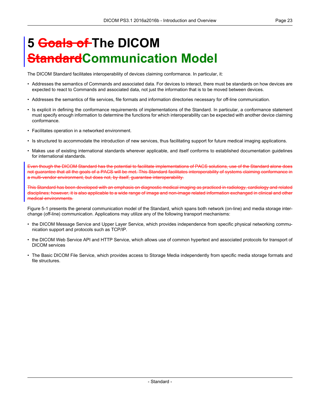# <span id="page-22-0"></span>**5 Goals of The DICOM dardCommunication Model**

The DICOM Standard facilitates interoperability of devices claiming conformance. In particular, it:

- Addresses the semantics of Commands and associated data. For devices to interact, there must be standards on how devices are expected to react to Commands and associated data, not just the information that is to be moved between devices.
- Addresses the semantics of file services, file formats and information directories necessary for off-line communication.
- Is explicit in defining the conformance requirements of implementations of the Standard. In particular, a conformance statement must specify enough information to determine the functions for which interoperability can be expected with another device claiming conformance.
- Facilitates operation in a networked environment.
- Is structured to accommodate the introduction of new services, thus facilitating support for future medical imaging applications.
- Makes use of existing international standards wherever applicable, and itself conforms to established documentation guidelines for international standards.

Even though the DICOM Standard has the potential to facilitate implementations of PACS solutions, use of the Standard alone does not guarantee that all the goals of a PACS will be met. This Standard facilitates interoperability of systems claiming conformance in a multi-vendor environment, but does not, by itself, guarantee interoperability.

This Standard has been developed with an emphasis on diagnostic medical imaging as practiced in radiology, cardiology and related disciplines; however, it is also applicable to a wide range of image and non-image related information exchanged in clinical and other medical environments.

[Figure](#page-23-0) 5-1 presents the general communication model of the Standard, which spans both network (on-line) and media storage interchange (off-line) communication. Applications may utilize any of the following transport mechanisms:

- the DICOM Message Service and Upper Layer Service, which provides independence from specific physical networking communication support and protocols such as TCP/IP.
- the DICOM Web Service API and HTTP Service, which allows use of common hypertext and associated protocols for transport of DICOM services
- The Basic DICOM File Service, which provides access to Storage Media independently from specific media storage formats and file structures.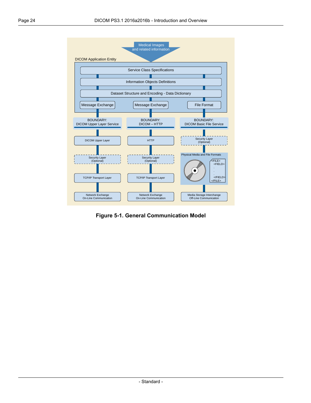<span id="page-23-0"></span>

**Figure 5-1. General Communication Model**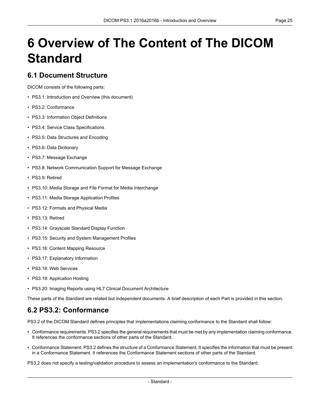# <span id="page-24-0"></span>**6 Overview of The Content of The DICOM Standard**

#### <span id="page-24-1"></span>**6.1 Document Structure**

DICOM consists of the following parts:

- PS3.1: Introduction and Overview (this document)
- PS3.2: [Conformance](part02.pdf#PS3.2)
- PS3.3: [Information](part03.pdf#PS3.3) Object Definitions
- PS3.4: Service Class [Specifications](part04.pdf#PS3.4)
- PS3.5: Data [Structures](part05.pdf#PS3.5) and Encoding
- PS3.6: Data [Dictionary](part06.pdf#PS3.6)
- PS3.7: Message [Exchange](part07.pdf#PS3.7)
- PS3.8: Network [Communication](part08.pdf#PS3.8) Support for Message Exchange
- PS3.9: Retired
- PS3.10: Media Storage and File Format for Media [Interchange](part10.pdf#PS3.10)
- PS3.11: Media Storage [Application](part11.pdf#PS3.11) Profiles
- PS3.12: Formats and [Physical](part12.pdf#PS3.12) Media
- PS3.13: Retired
- PS3.14: [Grayscale](part14.pdf#PS3.14) Standard Display Function
- PS3.15: Security and System [Management](part15.pdf#PS3.15) Profiles
- PS3.16: Content Mapping [Resource](part16.pdf#PS3.16)
- PS3.17: [Explanatory](part17.pdf#PS3.17) Information
- PS3.18: Web [Services](part18.pdf#PS3.18)
- <span id="page-24-2"></span>• PS3.19: [Application](part19.pdf#PS3.19) Hosting
- PS3.20: Imaging Reports using HL7 Clinical Document [Architecture](part20.pdf#PS3.20)

These parts of the Standard are related but independent documents. A brief description of each Part is provided in this section.

#### **6.2 PS3.2: Conformance**

[PS3.2](part02.pdf#PS3.2) of the DICOM Standard defines principles that implementations claiming conformance to the Standard shall follow:

- Conformance requirements. [PS3.2](part02.pdf#PS3.2) specifies the general requirements that must be met by any implementation claiming conformance. It references the conformance sections of other parts of the Standard.
- Conformance Statement. [PS3.2](part02.pdf#PS3.2) defines the structure of a Conformance Statement. It specifies the information that must be present in a Conformance Statement. It references the Conformance Statement sections of other parts of the Standard.

[PS3.2](part02.pdf#PS3.2) does not specify a testing/validation procedure to assess an implementation's conformance to the Standard.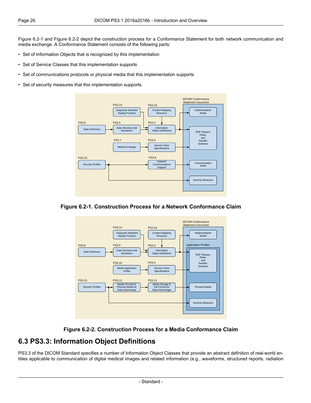[Figure](#page-25-1) 6.2-1 and [Figure](#page-25-2) 6.2-2 depict the construction process for a Conformance Statement for both network communication and media exchange. A Conformance Statement consists of the following parts:

- Set of Information Objects that is recognized by this implementation
- Set of Service Classes that this implementation supports
- Set of communications protocols or physical media that this implementation supports
- <span id="page-25-1"></span>• Set of security measures that this implementation supports.



<span id="page-25-2"></span>





### <span id="page-25-0"></span>**6.3 PS3.3: Information Object Definitions**

[PS3.3](part03.pdf#PS3.3) of the DICOM Standard specifies a number of Information Object Classes that provide an abstract definition of real-world entities applicable to communication of digital medical images and related information (e.g., waveforms, structured reports, radiation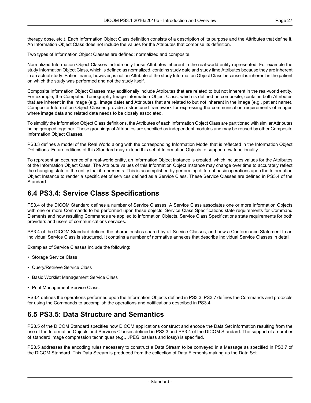therapy dose, etc.). Each Information Object Class definition consists of a description of its purpose and the Attributes that define it. An Information Object Class does not include the values for the Attributes that comprise its definition.

Two types of Information Object Classes are defined: normalized and composite.

Normalized Information Object Classes include only those Attributes inherent in the real-world entity represented. For example the study Information Object Class, which is defined as normalized, contains study date and study time Attributes because they are inherent in an actual study. Patient name, however, is not an Attribute of the study Information Object Class because it is inherent in the patient on which the study was performed and not the study itself.

Composite Information Object Classes may additionally include Attributes that are related to but not inherent in the real-world entity. For example, the Computed Tomography Image Information Object Class, which is defined as composite, contains both Attributes that are inherent in the image (e.g., image date) and Attributes that are related to but not inherent in the image (e.g., patient name). Composite Information Object Classes provide a structured framework for expressing the communication requirements of images where image data and related data needs to be closely associated.

To simplify the Information Object Class definitions, the Attributes of each Information Object Class are partitioned with similar Attributes being grouped together. These groupings of Attributes are specified as independent modules and may be reused by other Composite Information Object Classes.

[PS3.3](part03.pdf#PS3.3) defines a model of the Real World along with the corresponding Information Model that is reflected in the Information Object Definitions. Future editions of this Standard may extend this set of Information Objects to support new functionality.

<span id="page-26-0"></span>To represent an occurrence of a real-world entity, an Information Object Instance is created, which includes values for the Attributes of the Information Object Class. The Attribute values of this Information Object Instance may change over time to accurately reflect the changing state of the entity that it represents. This is accomplished by performing different basic operations upon the Information Object Instance to render a specific set of services defined as a Service Class. These Service Classes are defined in [PS3.4](part04.pdf#PS3.4) of the Standard.

#### **6.4 PS3.4: Service Class Specifications**

[PS3.4](part04.pdf#PS3.4) of the DICOM Standard defines a number of Service Classes. A Service Class associates one or more Information Objects with one or more Commands to be performed upon these objects. Service Class Specifications state requirements for Command Elements and how resulting Commands are applied to Information Objects. Service Class Specifications state requirements for both providers and users of communications services.

[PS3.4](part04.pdf#PS3.4) of the DICOM Standard defines the characteristics shared by all Service Classes, and how a Conformance Statement to an individual Service Class is structured. It contains a number of normative annexes that describe individual Service Classes in detail.

Examples of Service Classes include the following:

- Storage Service Class
- Query/Retrieve Service Class
- <span id="page-26-1"></span>• Basic Worklist Management Service Class
- Print Management Service Class.

[PS3.4](part04.pdf#PS3.4) defines the operations performed upon the Information Objects defined in [PS3.3.](part03.pdf#PS3.3) [PS3.7](part07.pdf#PS3.7) defines the Commands and protocols for using the Commands to accomplish the operations and notifications described in [PS3.4](part04.pdf#PS3.4).

#### **6.5 PS3.5: Data Structure and Semantics**

[PS3.5](part05.pdf#PS3.5) of the DICOM Standard specifies how DICOM applications construct and encode the Data Set information resulting from the use of the Information Objects and Services Classes defined in [PS3.3](part03.pdf#PS3.3) and [PS3.4](part04.pdf#PS3.4) of the DICOM Standard. The support of a number of standard image compression techniques (e.g., JPEG lossless and lossy) is specified.

[PS3.5](part05.pdf#PS3.5) addresses the encoding rules necessary to construct a Data Stream to be conveyed in a Message as specified in [PS3.7](part07.pdf#PS3.7) of the DICOM Standard. This Data Stream is produced from the collection of Data Elements making up the Data Set.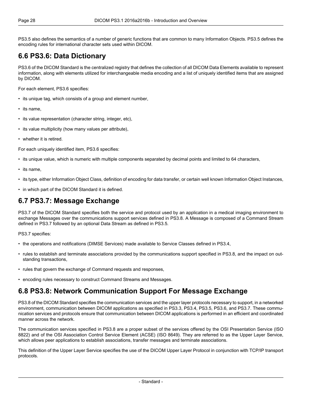<span id="page-27-0"></span>[PS3.5](part05.pdf#PS3.5) also defines the semantics of a number of generic functions that are common to many Information Objects. [PS3.5](part05.pdf#PS3.5) defines the encoding rules for international character sets used within DICOM.

### **6.6 PS3.6: Data Dictionary**

[PS3.6](part06.pdf#PS3.6) of the DICOM Standard is the centralized registry that defines the collection of all DICOM Data Elements available to represent information, along with elements utilized for interchangeable media encoding and a list of uniquely identified items that are assigned by DICOM.

For each element, [PS3.6](part06.pdf#PS3.6) specifies:

- its unique tag, which consists of a group and element number,
- its name,
- its value representation (character string, integer, etc),
- its value multiplicity (how many values per attribute),
- whether it is retired.

For each uniquely identified item, [PS3.6](part06.pdf#PS3.6) specifies:

- its unique value, which is numeric with multiple components separated by decimal points and limited to 64 characters,
- its name,
- <span id="page-27-1"></span>• its type, either Information Object Class, definition of encoding for data transfer, or certain well known Information Object Instances,
- in which part of the DICOM Standard it is defined.

#### **6.7 PS3.7: Message Exchange**

[PS3.7](part07.pdf#PS3.7) of the DICOM Standard specifies both the service and protocol used by an application in a medical imaging environment to exchange Messages over the communications support services defined in [PS3.8.](part08.pdf#PS3.8) A Message is composed of a Command Stream defined in [PS3.7](part07.pdf#PS3.7) followed by an optional Data Stream as defined in [PS3.5](part05.pdf#PS3.5).

[PS3.7](part07.pdf#PS3.7) specifies:

- the operations and notifications (DIMSE Services) made available to Service Classes defined in [PS3.4,](part04.pdf#PS3.4)
- <span id="page-27-2"></span>• rules to establish and terminate associations provided by the communications support specified in [PS3.8,](part08.pdf#PS3.8) and the impact on outstanding transactions,
- rules that govern the exchange of Command requests and responses,
- encoding rules necessary to construct Command Streams and Messages.

#### **6.8 PS3.8: Network Communication Support For Message Exchange**

[PS3.8](part08.pdf#PS3.8) of the DICOM Standard specifies the communication services and the upper layer protocols necessary to support, in a networked environment, communication between DICOM applications as specified in [PS3.3](part03.pdf#PS3.3), [PS3.4,](part04.pdf#PS3.4) [PS3.5](part05.pdf#PS3.5), [PS3.6,](part06.pdf#PS3.6) and [PS3.7.](part07.pdf#PS3.7) These communication services and protocols ensure that communication between DICOM applications is performed in an efficient and coordinated manner across the network.

The communication services specified in [PS3.8](part08.pdf#PS3.8) are a proper subset of the services offered by the OSI Presentation Service (ISO 8822) and of the OSI Association Control Service Element (ACSE) (ISO 8649). They are referred to as the Upper Layer Service, which allows peer applications to establish associations, transfer messages and terminate associations.

This definition of the Upper Layer Service specifies the use of the DICOM Upper Layer Protocol in conjunction with TCP/IP transport protocols.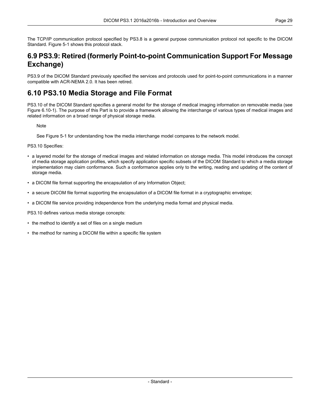<span id="page-28-0"></span>The TCP/IP communication protocol specified by [PS3.8](part08.pdf#PS3.8) is a general purpose communication protocol not specific to the DICOM Standard. [Figure](#page-23-0) 5-1 shows this protocol stack.

#### **6.9 PS3.9: Retired (formerly Point-to-point Communication Support For Message Exchange)**

<span id="page-28-1"></span>PS3.9 of the DICOM Standard previously specified the services and protocols used for point-to-point communications in a manner compatible with ACR-NEMA 2.0. It has been retired.

#### **6.10 PS3.10 Media Storage and File Format**

[PS3.10](part10.pdf#PS3.10) of the DICOM Standard specifies a general model for the storage of medical imaging information on removable media (see Figure [6.10-1\)](#page-29-1). The purpose of this Part is to provide a framework allowing the interchange of various types of medical images and related information on a broad range of physical storage media.

**Note** 

See [Figure](#page-23-0) 5-1 for understanding how the media interchange model compares to the network model.

[PS3.10](part10.pdf#PS3.10) Specifies:

- a layered model for the storage of medical images and related information on storage media. This model introduces the concept of media storage application profiles, which specify application specific subsets of the DICOM Standard to which a media storage implementation may claim conformance. Such a conformance applies only to the writing, reading and updating of the content of storage media.
- a DICOM file format supporting the encapsulation of any Information Object;
- a secure DICOM file format supporting the encapsulation of a DICOM file format in a cryptographic envelope;
- a DICOM file service providing independence from the underlying media format and physical media.

[PS3.10](part10.pdf#PS3.10) defines various media storage concepts:

- the method to identify a set of files on a single medium
- the method for naming a DICOM file within a specific file system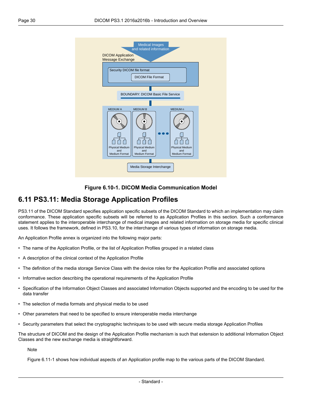<span id="page-29-1"></span>

**Figure 6.10-1. DICOM Media Communication Model**

### <span id="page-29-0"></span>**6.11 PS3.11: Media Storage Application Profiles**

[PS3.11](part11.pdf#PS3.11) of the DICOM Standard specifies application specific subsets of the DICOM Standard to which an implementation may claim conformance. These application specific subsets will be referred to as Application Profiles in this section. Such a conformance statement applies to the interoperable interchange of medical images and related information on storage media for specific clinical uses. It follows the framework, defined in [PS3.10](part10.pdf#PS3.10), for the interchange of various types of information on storage media.

An Application Profile annex is organized into the following major parts:

- The name of the Application Profile, or the list of Application Profiles grouped in a related class
- A description of the clinical context of the Application Profile
- The definition of the media storage Service Class with the device roles for the Application Profile and associated options
- Informative section describing the operational requirements of the Application Profile
- Specification of the Information Object Classes and associated Information Objects supported and the encoding to be used for the data transfer
- The selection of media formats and physical media to be used
- Other parameters that need to be specified to ensure interoperable media interchange
- Security parameters that select the cryptographic techniques to be used with secure media storage Application Profiles

The structure of DICOM and the design of the Application Profile mechanism is such that extension to additional Information Object Classes and the new exchange media is straightforward.

**Note** 

[Figure](#page-30-4) 6.11-1 shows how individual aspects of an Application profile map to the various parts of the DICOM Standard.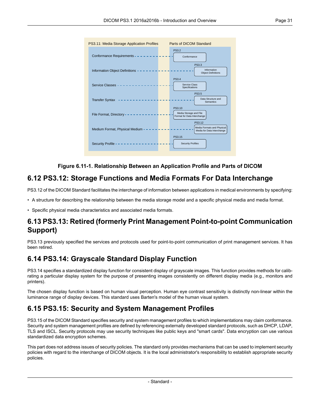<span id="page-30-4"></span>

#### **Figure 6.11-1. Relationship Between an Application Profile and Parts of DICOM**

#### <span id="page-30-0"></span>**6.12 PS3.12: Storage Functions and Media Formats For Data Interchange**

[PS3.12](part12.pdf#PS3.12) of the DICOM Standard facilitates the interchange of information between applications in medical environments by specifying:

<span id="page-30-1"></span>• A structure for describing the relationship between the media storage model and a specific physical media and media format.

• Specific physical media characteristics and associated media formats.

#### <span id="page-30-2"></span>**6.13 PS3.13: Retired (formerly Print Management Point-to-point Communication Support)**

PS3.13 previously specified the services and protocols used for point-to-point communication of print management services. It has been retired.

#### **6.14 PS3.14: Grayscale Standard Display Function**

<span id="page-30-3"></span>[PS3.14](part14.pdf#PS3.14) specifies a standardized display function for consistent display of grayscale images. This function provides methods for calibrating a particular display system for the purpose of presenting images consistently on different display media (e.g., monitors and printers).

The chosen display function is based on human visual perception. Human eye contrast sensitivity is distinctly non-linear within the luminance range of display devices. This standard uses Barten's model of the human visual system.

#### **6.15 PS3.15: Security and System Management Profiles**

[PS3.15](part15.pdf#PS3.15) of the DICOM Standard specifies security and system management profiles to which implementations may claim conformance. Security and system management profiles are defined by referencing externally developed standard protocols, such as DHCP, LDAP, TLS and ISCL. Security protocols may use security techniques like public keys and "smart cards". Data encryption can use various standardized data encryption schemes.

This part does not address issues of security policies. The standard only provides mechanisms that can be used to implement security policies with regard to the interchange of DICOM objects. It is the local administrator's responsibility to establish appropriate security policies.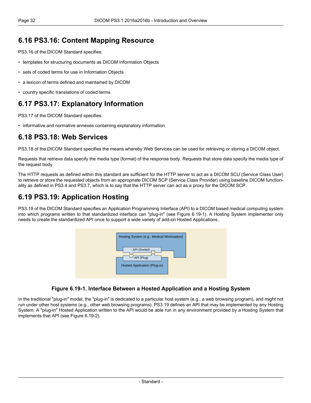#### <span id="page-31-0"></span>**6.16 PS3.16: Content Mapping Resource**

[PS3.16](part16.pdf#PS3.16) of the DICOM Standard specifies:

- templates for structuring documents as DICOM Information Objects
- sets of coded terms for use in Information Objects
- a lexicon of terms defined and maintained by DICOM
- <span id="page-31-1"></span>• country specific translations of coded terms

#### **6.17 PS3.17: Explanatory Information**

<span id="page-31-2"></span>[PS3.17](part17.pdf#PS3.17) of the DICOM Standard specifies:

• informative and normative annexes containing explanatory information

#### **6.18 PS3.18: Web Services**

[PS3.18](part18.pdf#PS3.18) of the DICOM Standard specifies the means whereby Web Services can be used for retrieving or storing a DICOM object.

Requests that retrieve data specify the media type (format) of the response body. Requests that store data specify the media type of the request body.

<span id="page-31-3"></span>The HTTP requests as defined within this standard are sufficient for the HTTP server to act as a DICOM SCU (Service Class User) to retrieve or store the requested objects from an appropriate DICOM SCP (Service Class Provider) using baseline DICOM functionality as defined in [PS3.4](part04.pdf#PS3.4) and [PS3.7,](part07.pdf#PS3.7) which is to say that the HTTP server can act as a proxy for the DICOM SCP.

#### **6.19 PS3.19: Application Hosting**

<span id="page-31-4"></span>[PS3.19](part19.pdf#PS3.19) of the DICOM Standard specifies an Application Programming Interface (API) to a DICOM based medical computing system into which programs written to that standardized interface can "plug-in" (see [Figure](#page-31-4) 6.19-1). A Hosting System implementer only needs to create the standardized API once to support a wide variety of add-on Hosted Applications.



#### **Figure 6.19-1. Interface Between a Hosted Application and a Hosting System**

In the traditional "plug-in" model, the "plug-in" is dedicated to a particular host system (e.g., a web browsing program), and might not run under other host systems (e.g., other web browsing programs). [PS3.19](part19.pdf#PS3.19) defines an API that may be implemented by any Hosting System. A "plug-in" Hosted Application written to the API would be able run in any environment provided by a Hosting System that implements that API (see [Figure](#page-32-1) 6.19-2).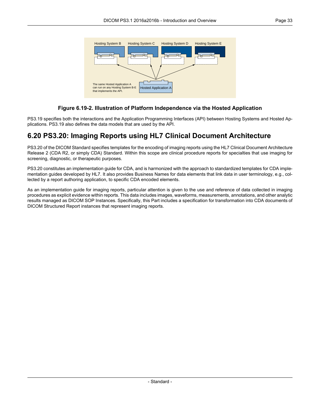<span id="page-32-1"></span>

#### **Figure 6.19-2. Illustration of Platform Independence via the Hosted Application**

<span id="page-32-0"></span>[PS3.19](part19.pdf#PS3.19) specifies both the interactions and the Application Programming Interfaces (API) between Hosting Systems and Hosted Applications. [PS3.19](part19.pdf#PS3.19) also defines the data models that are used by the API.

#### **6.20 PS3.20: Imaging Reports using HL7 Clinical Document Architecture**

[PS3.20](part20.pdf#PS3.20) of the DICOM Standard specifies templates for the encoding of imaging reports using the HL7 Clinical Document Architecture Release 2 (CDA R2, or simply CDA) Standard. Within this scope are clinical procedure reports for specialties that use imaging for screening, diagnostic, or therapeutic purposes.

[PS3.20](part20.pdf#PS3.20) constitutes an implementation guide for CDA, and is harmonized with the approach to standardized templates for CDA implementation guides developed by HL7. It also provides Business Names for data elements that link data in user terminology, e.g., collected by a report authoring application, to specific CDA encoded elements.

As an implementation guide for imaging reports, particular attention is given to the use and reference of data collected in imaging procedures as explicit evidence within reports. This data includes images, waveforms, measurements, annotations, and other analytic results managed as DICOM SOP Instances. Specifically, this Part includes a specification for transformation into CDA documents of DICOM Structured Report instances that represent imaging reports.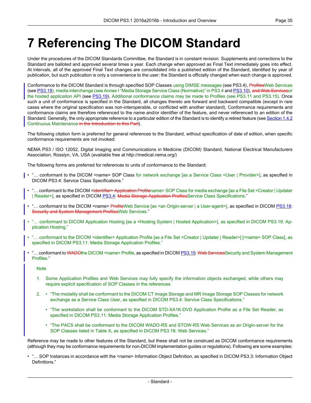## <span id="page-34-0"></span>**7 Referencing The DICOM Standard**

Under the procedures of the DICOM Standards Committee, the Standard is in constant revision. Supplements and corrections to the Standard are balloted and approved several times a year. Each change when approved as Final Text immediately goes into effect. At intervals, all of the approved Final Text changes are consolidated into a published edition of the Standard, identified by year of publication, but such publication is only a convenience to the user; the Standard is officially changed when each change is approved.

Conformance to the DICOM Standard is through specified SOP Classes using DIMSE messages (see [PS3.4\)](part04.pdf#PS3.4), ProfilesWeb Services (see [PS3.18\)](part18.pdf#PS3.18), media interchange (see Annex I "Media Storage Service Class [\(Normative\)"](part04.pdf#chapter_I) in PS3.4 and [PS3.10\)](part10.pdf#PS3.10), and Web Servicesor the hosted application API (see [PS3.19\)](part19.pdf#PS3.19). Additional conformance claims may be made to Profiles (see [PS3.11](part11.pdf#PS3.11) and [PS3.15](part15.pdf#PS3.15)). Once such a unit of conformance is specified in the Standard, all changes thereto are forward and backward compatible (except in rare cases where the original specification was non-interoperable, or conflicted with another standard). Conformance requirements and conformance claims are therefore referenced to the name and/or identifier of the feature, and never referenced to an edition of the Standard. Generally, the only appropriate reference to a particular edition of the Standard is to identify a retired feature (see [Section](#page-12-3) 1.4.2) Continuous [Maintenance](#page-12-3) in the Introduction to this Part).

The following citation form is preferred for general references to the Standard, without specification of date of edition, when specific conformance requirements are not invoked:

NEMA PS3 / ISO 12052, Digital Imaging and Communications in Medicine (DICOM) Standard, National Electrical Manufacturers Association, Rosslyn, VA, USA (available free at <http://medical.nema.org/>)

The following forms are preferred for references to units of conformance to the Standard:

- "… conformant to the DICOM <name> SOP Class for network exchange [as a Service Class <User | Provider>], as specified in DICOM [PS3.4:](part04.pdf#PS3.4) Service Class Specifications."
- "... conformant to the DICOM <identifier> Application Profilename> SOP Class for media exchange [as a File Set <Creator | Updater | Reader>], as specified in DICOM [PS3.4:](part04.pdf#PS3.4) Media Storage Application ProfilesService Class Specifications."
- "... conformant to the DICOM <name> ProfileWeb Service [as <an Origin-server | a User-agent>], as specified in DICOM [PS3.18:](part18.pdf#PS3.18) Security and System Management Profiles Web Services."
- "… conformant to DICOM Application Hosting [as a <Hosting System | Hosted Application>], as specified in DICOM [PS3.19:](part19.pdf#PS3.19) Application Hosting."
- "… conformant to the DICOM <identifier> Application Profile [as a File Set <Creator | Updater | Reader>] [<name> SOP Class], as specified in DICOM [PS3.11](part11.pdf#PS3.11): Media Storage Application Profiles."
- "... conformant to WADOthe DICOM <name> Profile, as specified in DICOM [PS3.15:](part15.pdf#PS3.15) Web ServicesSecurity and System Management Profiles."

**Note** 

- 1. Some Application Profiles and Web Services may fully specify the information objects exchanged, while others may require explicit specification of SOP Classes in the references.
- 2. "The modality shall be conformant to the DICOM CT Image Storage and MR Image Storage SOP Classes for network exchange as a Service Class User, as specified in DICOM [PS3.4:](part04.pdf#PS3.4) Service Class Specifications."
	- "The workstation shall be conformant to the DICOM STD-XA1K-DVD Application Profile as a File Set Reader, as specified in DICOM [PS3.11](part11.pdf#PS3.11): Media Storage Application Profiles."
	- "The PACS shall be conformant to the DICOM WADO-RS and STOW-RS Web Services as an Origin-server for the SOP Classes listed in Table X, as specified in DICOM [PS3.18](part18.pdf#PS3.18): Web Services."

Reference may be made to other features of the Standard, but these shall not be construed as DICOM conformance requirements (although they may be conformance requirements for non-DICOM implementation guides or regulations). Following are some examples:

• "... SOP Instances in accordance with the <name> Information Object Definition, as specified in DICOM [PS3.3](part03.pdf#PS3.3): Information Object Definitions."